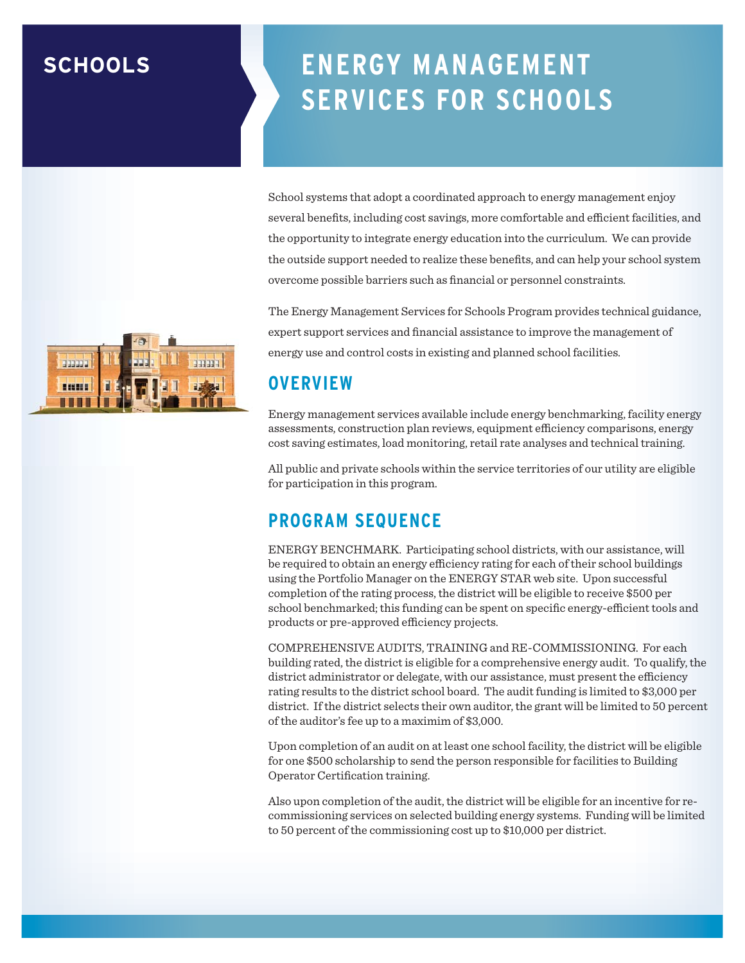## **SCHOOLS**

# **ENERGY MANAGEMENT SERVICES FOR SCHOOLS**

School systems that adopt a coordinated approach to energy management enjoy several benefits, including cost savings, more comfortable and efficient facilities, and the opportunity to integrate energy education into the curriculum. We can provide the outside support needed to realize these benefits, and can help your school system overcome possible barriers such as financial or personnel constraints.

The Energy Management Services for Schools Program provides technical guidance, expert support services and financial assistance to improve the management of energy use and control costs in existing and planned school facilities.

#### **OVERVIEW**

Energy management services available include energy benchmarking, facility energy assessments, construction plan reviews, equipment efficiency comparisons, energy cost saving estimates, load monitoring, retail rate analyses and technical training.

All public and private schools within the service territories of our utility are eligible for participation in this program.

## **PROGRAM SEQUENCE**

ENERGY BENCHMARK. Participating school districts, with our assistance, will be required to obtain an energy efficiency rating for each of their school buildings using the Portfolio Manager on the ENERGY STAR web site. Upon successful completion of the rating process, the district will be eligible to receive \$500 per school benchmarked; this funding can be spent on specific energy-efficient tools and products or pre-approved efficiency projects.

COMPREHENSIVE AUDITS, TRAINING and RE-COMMISSIONING. For each building rated, the district is eligible for a comprehensive energy audit. To qualify, the district administrator or delegate, with our assistance, must present the efficiency rating results to the district school board. The audit funding is limited to \$3,000 per district. If the district selects their own auditor, the grant will be limited to 50 percent of the auditor's fee up to a maximim of \$3,000.

Upon completion of an audit on at least one school facility, the district will be eligible for one \$500 scholarship to send the person responsible for facilities to Building Operator Certification training.

Also upon completion of the audit, the district will be eligible for an incentive for recommissioning services on selected building energy systems. Funding will be limited to 50 percent of the commissioning cost up to \$10,000 per district.